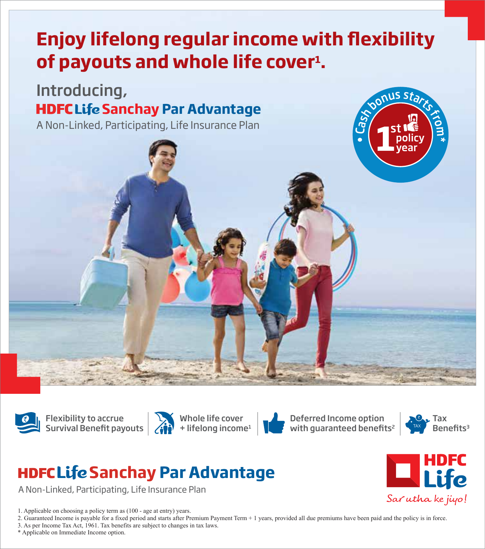# **Enjoy lifelong regular income with flexibility** of payouts and whole life cover<sup>1</sup>.

## **HDFC Life Sanchay Par Advantage** Introducing,

A Non-Linked, Participating, Life Insurance Plan





Flexibility to accrue **Survival Benefit payouts** 



Whole life cover  $+$  lifelong income<sup>1</sup>



Deferred Income option with guaranteed benefits<sup>2</sup>



Sar utha ke jiyo!

 $n$ nus sta

## **HDFC Life Sanchay Par Advantage**

A Non-Linked, Participating, Life Insurance Plan

1. Applicable on choosing a policy term as (100 - age at entry) years.

2. Guaranteed Income is payable for a fixed period and starts after Premium Payment Term + 1 years, provided all due premiums have been paid and the policy is in force.

3. As per Income Tax Act, 1961. Tax benefits are subject to changes in tax laws.

\* Applicable on Immediate Income option.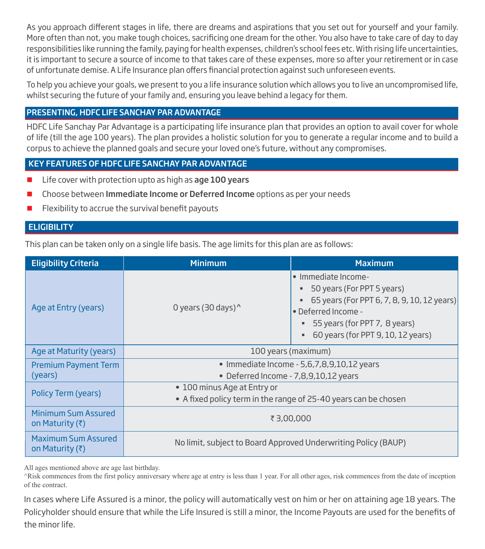As you approach different stages in life, there are dreams and aspirations that you set out for yourself and your family. More often than not, you make tough choices, sacrificing one dream for the other. You also have to take care of day to day responsibilities like running the family, paying for health expenses, children's school fees etc. With rising life uncertainties, it is important to secure a source of income to that takes care of these expenses, more so after your retirement or in case of unfortunate demise. A Life Insurance plan offers financial protection against such unforeseen events.

To help you achieve your goals, we present to you a life insurance solution which allows you to live an uncompromised life, whilst securing the future of your family and, ensuring you leave behind a legacy for them.

## PRESENTING, HDFC LIFE SANCHAY PAR ADVANTAGE

HDFC Life Sanchay Par Advantage is a participating life insurance plan that provides an option to avail cover for whole of life (till the age 100 years). The plan provides a holistic solution for you to generate a regular income and to build a corpus to achieve the planned goals and secure your loved one's future, without any compromises.

## KEY FEATURES OF HDFC LIFE SANCHAY PAR ADVANTAGE

- $\blacksquare$  Life cover with protection upto as high as age 100 years
- **Choose between Immediate Income or Deferred Income** options as per your needs
- Flexibility to accrue the survival benefit payouts

#### **ELIGIBILITY**

This plan can be taken only on a single life basis. The age limits for this plan are as follows:

| <b>Eligibility Criteria</b>                    | <b>Minimum</b><br><b>Maximum</b>                                |                                                                                                                                                                                                                    |  |
|------------------------------------------------|-----------------------------------------------------------------|--------------------------------------------------------------------------------------------------------------------------------------------------------------------------------------------------------------------|--|
| Age at Entry (years)                           | 0 years (30 days) $^{\prime}$                                   | $\bullet$ Immediate Income-<br>50 years (For PPT 5 years)<br>ш<br>65 years (For PPT 6, 7, 8, 9, 10, 12 years)<br>ш<br>• Deferred Income -<br>■ 55 years (for PPT 7, 8 years)<br>60 years (for PPT 9, 10, 12 years) |  |
| Age at Maturity (years)                        | 100 years (maximum)                                             |                                                                                                                                                                                                                    |  |
| <b>Premium Payment Term</b>                    | • Immediate Income - 5,6,7,8,9,10,12 years                      |                                                                                                                                                                                                                    |  |
| (years)                                        | • Deferred Income - 7,8,9,10,12 years                           |                                                                                                                                                                                                                    |  |
| Policy Term (years)                            | • 100 minus Age at Entry or                                     |                                                                                                                                                                                                                    |  |
|                                                | • A fixed policy term in the range of 25-40 years can be chosen |                                                                                                                                                                                                                    |  |
| Minimum Sum Assured<br>on Maturity (₹)         | ₹3,00,000                                                       |                                                                                                                                                                                                                    |  |
| Maximum Sum Assured<br>on Maturity $(\bar{z})$ | No limit, subject to Board Approved Underwriting Policy (BAUP)  |                                                                                                                                                                                                                    |  |

All ages mentioned above are age last birthday.

^Risk commences from the first policy anniversary where age at entry is less than 1 year. For all other ages, risk commences from the date of inception of the contract.

In cases where Life Assured is a minor, the policy will automatically vest on him or her on attaining age 18 years. The Policyholder should ensure that while the Life Insured is still a minor, the Income Payouts are used for the benefits of the minor life.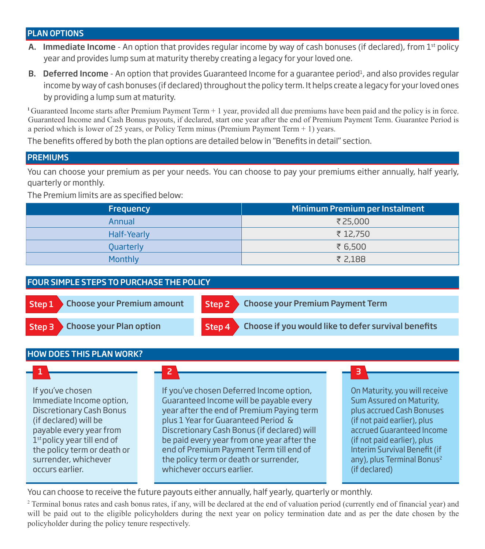#### PLAN OPTIONS

- A. Immediate Income An option that provides regular income by way of cash bonuses (if declared), from  $1<sup>st</sup>$  policy year and provides lump sum at maturity thereby creating a legacy for your loved one.
- **B. Deferred Income** An option that provides Guaranteed Income for a guarantee period<sup>1</sup>, and also provides regular income by way of cash bonuses (if declared) throughout the policy term. It helps create a legacy for your loved ones by providing a lump sum at maturity.

**<sup>1</sup>**Guaranteed Income starts after Premium Payment Term + 1 year, provided all due premiums have been paid and the policy is in force. Guaranteed Income and Cash Bonus payouts, if declared, start one year after the end of Premium Payment Term. Guarantee Period is a period which is lower of 25 years, or Policy Term minus (Premium Payment Term  $+1$ ) years.

The benefits offered by both the plan options are detailed below in "Benefits in detail" section.

#### **PREMIUMS**

You can choose your premium as per your needs. You can choose to pay your premiums either annually, half yearly, quarterly or monthly.

The Premium limits are as specified below:

| <b>Frequency</b> | Minimum Premium per Instalment |
|------------------|--------------------------------|
| Annual           | ₹25,000                        |
| Half-Yearly      | ₹ 12,750                       |
| Quarterly        | ₹ 6,500                        |
| Monthly          | ₹ 2,188                        |

#### FOUR SIMPLE STEPS TO PURCHASE THE POLICY



#### HOW DOES THIS PLAN WORK?

If you've chosen Immediate Income option, Discretionary Cash Bonus (if declared) will be payable every year from 1<sup>st</sup> policy year till end of the policy term or death or surrender, whichever occurs earlier.

#### 1 2 3

If you've chosen Deferred Income option, Guaranteed Income will be payable every year after the end of Premium Paying term plus 1 Year for Guaranteed Period & Discretionary Cash Bonus (if declared) will be paid every year from one year after the end of Premium Payment Term till end of the policy term or death or surrender, whichever occurs earlier.

On Maturity, you will receive Sum Assured on Maturity, plus accrued Cash Bonuses (if not paid earlier), plus accrued Guaranteed Income (if not paid earlier), plus Interim Survival Benefit (if any), plus Terminal Bonus<sup>2</sup> (if declared)

You can choose to receive the future payouts either annually, half yearly, quarterly or monthly.

2 Terminal bonus rates and cash bonus rates, if any, will be declared at the end of valuation period (currently end of financial year) and will be paid out to the eligible policyholders during the next year on policy termination date and as per the date chosen by the policyholder during the policy tenure respectively.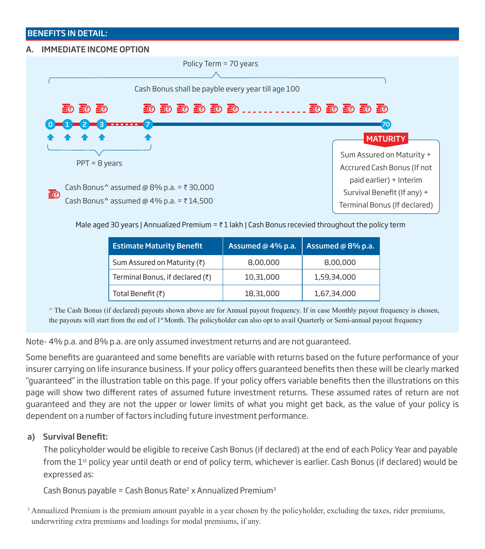#### BENEFITS IN DETAIL:

#### A. IMMEDIATE INCOME OPTION



Male aged 30 years | Annualized Premium =  $\overline{\tau}$  1 lakh | Cash Bonus recevied throughout the policy term

| <b>Estimate Maturity Benefit</b> | Assumed @ 4% p.a. | Assumed @ 8% p.a. |
|----------------------------------|-------------------|-------------------|
| Sum Assured on Maturity (₹)      | 8,00,000          | 8,00,000          |
| Terminal Bonus, if declared (₹)  | 10,31,000         | 1,59,34,000       |
| Total Benefit (₹)                | 18,31,000         | 1,67,34,000       |

^ The Cash Bonus (if declared) payouts shown above are for Annual payout frequency. If in case Monthly payout frequency is chosen, the payouts will start from the end of  $1<sup>st</sup>$  Month. The policyholder can also opt to avail Quarterly or Semi-annual payout frequency

Note- 4% p.a. and 8% p.a. are only assumed investment returns and are not guaranteed.

Some benefits are quaranteed and some benefits are variable with returns based on the future performance of your insurer carrying on life insurance business. If your policy offers guaranteed benefits then these will be clearly marked "guaranteed" in the illustration table on this page. If your policy offers variable benefits then the illustrations on this page will show two different rates of assumed future investment returns. These assumed rates of return are not guaranteed and they are not the upper or lower limits of what you might get back, as the value of your policy is dependent on a number of factors including future investment performance.

#### a) Survival Benefit:

The policyholder would be eligible to receive Cash Bonus (if declared) at the end of each Policy Year and payable from the 1<sup>st</sup> policy year until death or end of policy term, whichever is earlier. Cash Bonus (if declared) would be expressed as:

Cash Bonus payable = Cash Bonus Rate<sup>2</sup> x Annualized Premium<sup>3</sup>

<sup>3</sup> Annualized Premium is the premium amount payable in a year chosen by the policyholder, excluding the taxes, rider premiums, underwriting extra premiums and loadings for modal premiums, if any.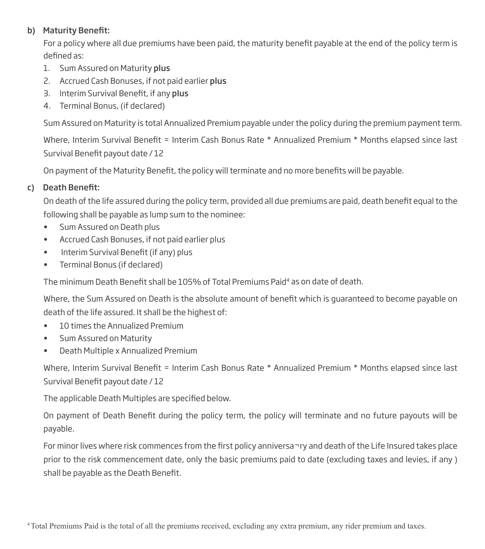## b) Maturity Benefit:

For a policy where all due premiums have been paid, the maturity benefit payable at the end of the policy term is defined as:

- 1. Sum Assured on Maturity plus
- 2. Accrued Cash Bonuses, if not paid earlier plus
- 3. Interim Survival Benefit, if any plus
- 4. Terminal Bonus, (if declared)

Sum Assured on Maturity is total Annualized Premium payable under the policy during the premium payment term.

Where, Interim Survival Benefit = Interim Cash Bonus Rate \* Annualized Premium \* Months elapsed since last Survival Benefit payout date / 12

On payment of the Maturity Benefit, the policy will terminate and no more benefits will be payable.

## c) Death Benefit:

On death of the life assured during the policy term, provided all due premiums are paid, death benefit equal to the following shall be payable as lump sum to the nominee:

- Sum Assured on Death plus
- Accrued Cash Bonuses, if not paid earlier plus
- Interim Survival Benefit (if any) plus
- Terminal Bonus (if declared)

The minimum Death Benefit shall be 105% of Total Premiums Paid<sup>4</sup> as on date of death.

Where, the Sum Assured on Death is the absolute amount of benefit which is quaranteed to become payable on death of the life assured. It shall be the highest of:

- 10 times the Annualized Premium
- Sum Assured on Maturity
- Death Multiple x Annualized Premium

Where, Interim Survival Benefit = Interim Cash Bonus Rate \* Annualized Premium \* Months elapsed since last Survival Benefit payout date / 12

The applicable Death Multiples are specified below.

On payment of Death Benefit during the policy term, the policy will terminate and no future payouts will be payable.

For minor lives where risk commences from the first policy anniversa¬ry and death of the Life Insured takes place prior to the risk commencement date, only the basic premiums paid to date (excluding taxes and levies, if any ) shall be payable as the Death Benefit.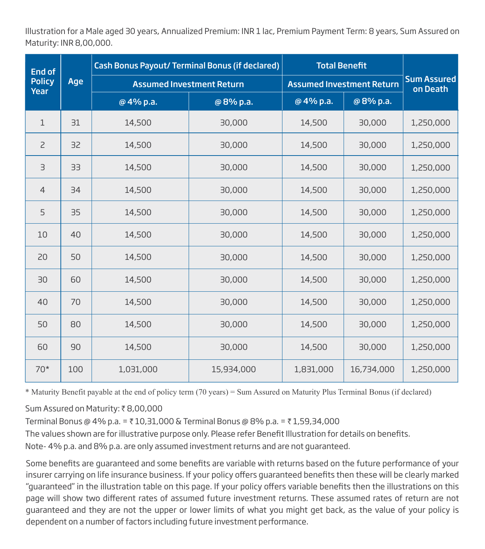Illustration for a Male aged 30 years, Annualized Premium: INR 1 lac, Premium Payment Term: 8 years, Sum Assured on Maturity: INR 8,00,000.

| <b>End of</b>         |     | <b>Cash Bonus Payout/ Terminal Bonus (if declared)</b> | <b>Total Benefit</b> |                                  |            |                                |
|-----------------------|-----|--------------------------------------------------------|----------------------|----------------------------------|------------|--------------------------------|
| <b>Policy</b><br>Year | Age | <b>Assumed Investment Return</b>                       |                      | <b>Assumed Investment Return</b> |            | <b>Sum Assured</b><br>on Death |
|                       |     | @4% p.a.                                               | @8% p.a.             | @4% p.a.                         | @8% p.a.   |                                |
| $\mathbf 1$           | 31  | 14,500                                                 | 30,000               | 14,500                           | 30,000     | 1,250,000                      |
| $\overline{c}$        | 32  | 14,500                                                 | 30,000               | 14,500                           | 30,000     | 1,250,000                      |
| $\exists$             | 33  | 14,500                                                 | 30,000               | 14,500                           | 30,000     | 1,250,000                      |
| $\overline{4}$        | 34  | 14,500                                                 | 30,000               | 14,500                           | 30,000     | 1,250,000                      |
| 5                     | 35  | 14,500                                                 | 30,000               | 14,500                           | 30,000     | 1,250,000                      |
| 10                    | 40  | 14,500                                                 | 30,000               | 14,500                           | 30,000     | 1,250,000                      |
| 20                    | 50  | 14,500                                                 | 30,000               | 14,500                           | 30,000     | 1,250,000                      |
| 30                    | 60  | 14,500                                                 | 30,000               | 14,500                           | 30,000     | 1,250,000                      |
| 40                    | 70  | 14,500                                                 | 30,000               | 14,500                           | 30,000     | 1,250,000                      |
| 50                    | 80  | 14,500                                                 | 30,000               | 14,500                           | 30,000     | 1,250,000                      |
| 60                    | 90  | 14,500                                                 | 30,000               | 14,500                           | 30,000     | 1,250,000                      |
| $70*$                 | 100 | 1,031,000                                              | 15,934,000           | 1,831,000                        | 16,734,000 | 1,250,000                      |

\* Maturity Benefit payable at the end of policy term (70 years) = Sum Assured on Maturity Plus Terminal Bonus (if declared)

Sum Assured on Maturity: ₹8,00,000

Terminal Bonus @ 4% p.a. = ₹ 10,31,000 & Terminal Bonus @ 8% p.a. = ₹ 1,59,34,000

The values shown are for illustrative purpose only. Please refer Benefit Illustration for details on benefits.

Note- 4% p.a. and 8% p.a. are only assumed investment returns and are not guaranteed.

Some benefits are quaranteed and some benefits are variable with returns based on the future performance of your insurer carrying on life insurance business. If your policy offers guaranteed benefits then these will be clearly marked "guaranteed" in the illustration table on this page. If your policy offers variable benefits then the illustrations on this page will show two different rates of assumed future investment returns. These assumed rates of return are not guaranteed and they are not the upper or lower limits of what you might get back, as the value of your policy is dependent on a number of factors including future investment performance.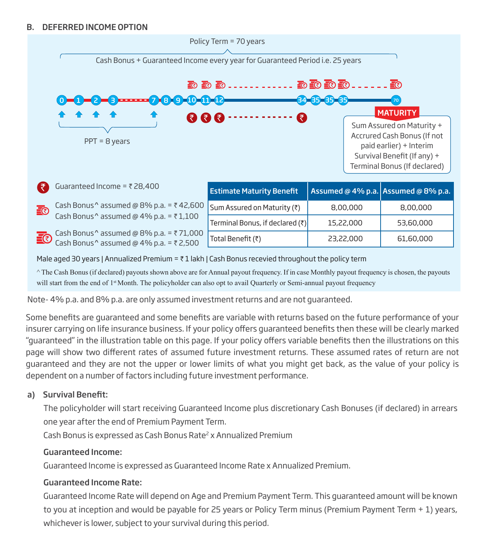#### B. DEFERRED INCOME OPTION



^ The Cash Bonus (if declared) payouts shown above are for Annual payout frequency. If in case Monthly payout frequency is chosen, the payouts will start from the end of 1<sup>st</sup> Month. The policyholder can also opt to avail Quarterly or Semi-annual payout frequency

Note- 4% p.a. and 8% p.a. are only assumed investment returns and are not guaranteed.

Some benefits are quaranteed and some benefits are variable with returns based on the future performance of your insurer carrying on life insurance business. If your policy offers quaranteed benefits then these will be clearly marked "guaranteed" in the illustration table on this page. If your policy offers variable benefits then the illustrations on this page will show two different rates of assumed future investment returns. These assumed rates of return are not guaranteed and they are not the upper or lower limits of what you might get back, as the value of your policy is dependent on a number of factors including future investment performance.

## a) Survival Benefit:

The policyholder will start receiving Guaranteed Income plus discretionary Cash Bonuses (if declared) in arrears one year after the end of Premium Payment Term.

Cash Bonus is expressed as Cash Bonus Rate<sup>2</sup> x Annualized Premium

## Guaranteed Income:

Guaranteed Income is expressed as Guaranteed Income Rate x Annualized Premium.

## Guaranteed Income Rate:

Guaranteed Income Rate will depend on Age and Premium Payment Term. This guaranteed amount will be known to you at inception and would be payable for 25 years or Policy Term minus (Premium Payment Term + 1) years, whichever is lower, subject to your survival during this period.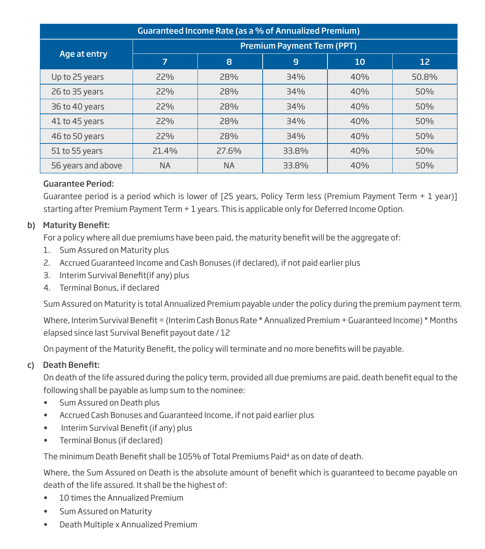| Guaranteed Income Rate (as a % of Annualized Premium) |                                   |           |       |     |       |  |  |
|-------------------------------------------------------|-----------------------------------|-----------|-------|-----|-------|--|--|
|                                                       | <b>Premium Payment Term (PPT)</b> |           |       |     |       |  |  |
| Age at entry                                          | 7                                 | 8         | 9     | 10  | 12    |  |  |
| Up to 25 years                                        | 22%                               | 28%       | 34%   | 40% | 50.8% |  |  |
| 26 to 35 years                                        | 22%                               | 28%       | 34%   | 40% | 50%   |  |  |
| 36 to 40 years                                        | 22%                               | 28%       | 34%   | 40% | 50%   |  |  |
| 41 to 45 years                                        | 22%                               | 28%       | 34%   | 40% | 50%   |  |  |
| 46 to 50 years                                        | 22%                               | 28%       | 34%   | 40% | 50%   |  |  |
| 51 to 55 years                                        | 21.4%                             | 27.6%     | 33.8% | 40% | 50%   |  |  |
| 56 years and above                                    | <b>NA</b>                         | <b>NA</b> | 33.8% | 40% | 50%   |  |  |

## Guarantee Period:

Guarantee period is a period which is lower of [25 years, Policy Term less (Premium Payment Term + 1 year)] starting after Premium Payment Term + 1 years. This is applicable only for Deferred Income Option.

## b) Maturity Benefit:

For a policy where all due premiums have been paid, the maturity benefit will be the aggregate of:

- 1. Sum Assured on Maturity plus
- 2. Accrued Guaranteed Income and Cash Bonuses (if declared), if not paid earlier plus
- 3. Interim Survival Benefit(if any) plus
- 4. Terminal Bonus, if declared

Sum Assured on Maturity is total Annualized Premium payable under the policy during the premium payment term.

Where, Interim Survival Benefit = (Interim Cash Bonus Rate \* Annualized Premium + Guaranteed Income) \* Months elapsed since last Survival Benefit payout date / 12

On payment of the Maturity Benefit, the policy will terminate and no more benefits will be payable.

## c) Death Benefit:

On death of the life assured during the policy term, provided all due premiums are paid, death benefit equal to the following shall be payable as lump sum to the nominee:

- Sum Assured on Death plus
- Accrued Cash Bonuses and Guaranteed Income, if not paid earlier plus
- Interim Survival Benefit (if any) plus
- Terminal Bonus (if declared)

The minimum Death Benefit shall be 105% of Total Premiums Paid<sup>4</sup> as on date of death.

Where, the Sum Assured on Death is the absolute amount of benefit which is quaranteed to become payable on death of the life assured. It shall be the highest of:

- 10 times the Annualized Premium
- Sum Assured on Maturity
- Death Multiple x Annualized Premium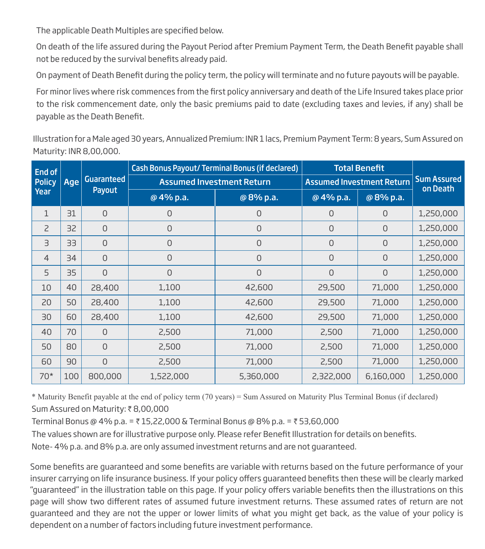The applicable Death Multiples are specified below.

On death of the life assured during the Payout Period after Premium Payment Term, the Death Benefit payable shall not be reduced by the survival benefits already paid.

On payment of Death Benefit during the policy term, the policy will terminate and no future payouts will be payable.

For minor lives where risk commences from the first policy anniversary and death of the Life Insured takes place prior to the risk commencement date, only the basic premiums paid to date (excluding taxes and levies, if any) shall be payable as the Death Benefit.

Illustration for a Male aged 30 years, Annualized Premium: INR 1 lacs, Premium Payment Term: 8 years, Sum Assured on Maturity: INR 8,00,000.

| End of         |                   |                | <b>Cash Bonus Payout/ Terminal Bonus (if declared)</b> |                                  |              | <b>Total Benefit</b>           |           |
|----------------|-------------------|----------------|--------------------------------------------------------|----------------------------------|--------------|--------------------------------|-----------|
| <b>Policy</b>  | Guaranteed<br>Age |                | <b>Assumed Investment Return</b>                       | <b>Assumed Investment Return</b> |              | <b>Sum Assured</b><br>on Death |           |
| Year           |                   | Payout         | @4% p.a.                                               | @8% p.a.                         | @4% p.a.     | @8% p.a.                       |           |
| $\mathbf 1$    | 31                | $\mathbf 0$    | $\mathbf{O}$                                           | 0                                | $\Omega$     | 0                              | 1,250,000 |
| $\overline{c}$ | 32                | $\overline{0}$ | $\mathbf{O}$                                           | $\overline{0}$                   | $\mathbf{O}$ | 0                              | 1,250,000 |
| $\exists$      | 33                | $\mathbf 0$    | $\mathbf{O}$                                           | 0                                | $\mathbf 0$  | 0                              | 1,250,000 |
| $\overline{4}$ | 34                | $\mathbf 0$    | $\mathbf 0$                                            | 0                                | $\mathbf 0$  | 0                              | 1,250,000 |
| 5              | 35                | $\mathbf 0$    | $\mathbf{O}$                                           | 0                                | $\mathbf{O}$ | 0                              | 1,250,000 |
| 10             | 40                | 28,400         | 1,100                                                  | 42,600                           | 29,500       | 71,000                         | 1,250,000 |
| 20             | 50                | 28,400         | 1,100                                                  | 42,600                           | 29,500       | 71,000                         | 1,250,000 |
| 30             | 60                | 28,400         | 1,100                                                  | 42,600                           | 29,500       | 71,000                         | 1,250,000 |
| 40             | 70                | $\overline{0}$ | 2,500                                                  | 71,000                           | 2,500        | 71,000                         | 1,250,000 |
| 50             | 80                | $\mathbf 0$    | 2,500                                                  | 71,000                           | 2,500        | 71,000                         | 1,250,000 |
| 60             | 90                | $\mathbf 0$    | 2,500                                                  | 71,000                           | 2,500        | 71,000                         | 1,250,000 |
| $70*$          | 100               | 800,000        | 1,522,000                                              | 5,360,000                        | 2,322,000    | 6,160,000                      | 1,250,000 |

\* Maturity Benefit payable at the end of policy term (70 years) = Sum Assured on Maturity Plus Terminal Bonus (if declared) Sum Assured on Maturity: ₹8,00,000

Terminal Bonus @ 4% p.a. = ₹15,22,000 & Terminal Bonus @ 8% p.a. = ₹53,60,000

The values shown are for illustrative purpose only. Please refer Benefit Illustration for details on benefits.

Note- 4% p.a. and 8% p.a. are only assumed investment returns and are not guaranteed.

Some benefits are quaranteed and some benefits are variable with returns based on the future performance of your insurer carrying on life insurance business. If your policy offers guaranteed benefits then these will be clearly marked "quaranteed" in the illustration table on this page. If your policy offers variable benefits then the illustrations on this page will show two different rates of assumed future investment returns. These assumed rates of return are not guaranteed and they are not the upper or lower limits of what you might get back, as the value of your policy is dependent on a number of factors including future investment performance.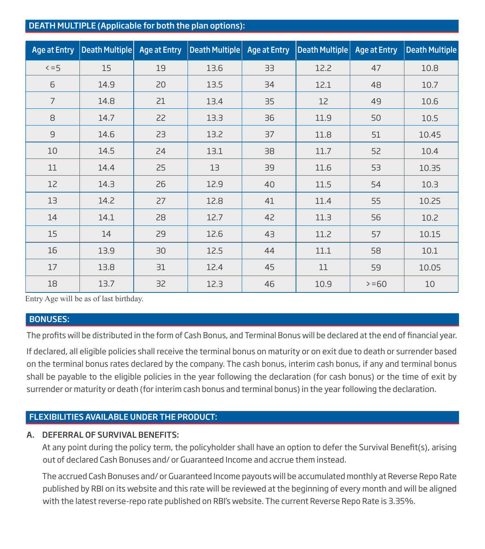#### DEATH MULTIPLE (Applicable for both the plan options):

| <b>Age at Entry</b> | Death Multiple | <b>Age at Entry</b> | <b>Death Multiple</b> | <b>Age at Entry</b> | <b>Death Multiple</b> | <b>Age at Entry</b> | <b>Death Multiple</b> |
|---------------------|----------------|---------------------|-----------------------|---------------------|-----------------------|---------------------|-----------------------|
| $5 = 5$             | 15             | 19                  | 13.6                  | 33                  | 12.2                  | 47                  | 10.8                  |
| 6                   | 14.9           | 20                  | 13.5                  | 34                  | 12.1                  | 48                  | 10.7                  |
| $\overline{7}$      | 14.8           | 21                  | 13.4                  | 35                  | 12                    | 49                  | 10.6                  |
| 8                   | 14.7           | 22                  | 13.3                  | 36                  | 11.9                  | 50                  | 10.5                  |
| $\overline{9}$      | 14.6           | 23                  | 13.2                  | 37                  | 11.8                  | 51                  | 10.45                 |
| 10                  | 14.5           | 24                  | 13.1                  | 38                  | 11.7                  | 52                  | 10.4                  |
| 11                  | 14.4           | 25                  | 13                    | 39                  | 11.6                  | 53                  | 10.35                 |
| 12                  | 14.3           | 26                  | 12.9                  | 40                  | 11.5                  | 54                  | 10.3                  |
| 13                  | 14.2           | 27                  | 12.8                  | 41                  | 11.4                  | 55                  | 10.25                 |
| 14                  | 14.1           | 28                  | 12.7                  | 42                  | 11.3                  | 56                  | 10.2                  |
| 15                  | 14             | 29                  | 12.6                  | 43                  | 11.2                  | 57                  | 10.15                 |
| 16                  | 13.9           | 30                  | 12.5                  | 44                  | 11.1                  | 58                  | 10.1                  |
| 17                  | 13.8           | 31                  | 12.4                  | 45                  | 11                    | 59                  | 10.05                 |
| 18                  | 13.7           | 32                  | 12.3                  | 46                  | 10.9                  | $>= 60$             | 10                    |

Entry Age will be as of last birthday.

#### BONUSES:

The profits will be distributed in the form of Cash Bonus, and Terminal Bonus will be declared at the end of financial year.

If declared, all eligible policies shall receive the terminal bonus on maturity or on exit due to death or surrender based on the terminal bonus rates declared by the company. The cash bonus, interim cash bonus, if any and terminal bonus shall be payable to the eligible policies in the year following the declaration (for cash bonus) or the time of exit by surrender or maturity or death (for interim cash bonus and terminal bonus) in the year following the declaration.

## FLEXIBILITIES AVAILABLE UNDER THE PRODUCT:

#### A. DEFERRAL OF SURVIVAL BENEFITS:

At any point during the policy term, the policyholder shall have an option to defer the Survival Benefit(s), arising out of declared Cash Bonuses and/ or Guaranteed Income and accrue them instead.

 The accrued Cash Bonuses and/ or Guaranteed Income payouts will be accumulated monthly at Reverse Repo Rate published by RBI on its website and this rate will be reviewed at the beginning of every month and will be aligned with the latest reverse-repo rate published on RBI's website. The current Reverse Repo Rate is 3.35%.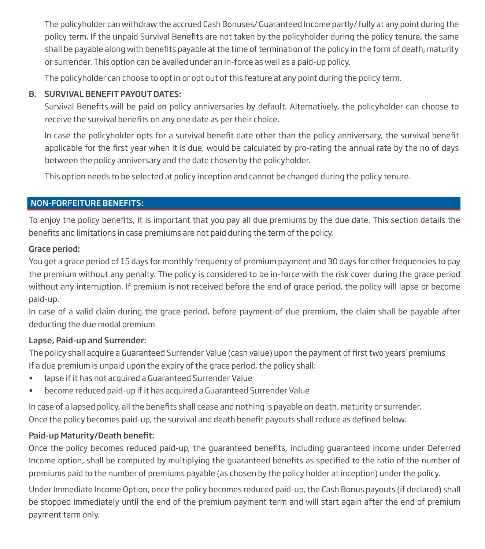The policyholder can withdraw the accrued Cash Bonuses/ Guaranteed Income partly/ fully at any point during the policy term. If the unpaid Survival Benefits are not taken by the policyholder during the policy tenure, the same shall be payable along with benefits payable at the time of termination of the policy in the form of death, maturity or surrender. This option can be availed under an in-force as well as a paid-up policy.

The policyholder can choose to opt in or opt out of this feature at any point during the policy term.

## B. SURVIVAL BENEFIT PAYOUT DATES:

Survival Benefits will be paid on policy anniversaries by default. Alternatively, the policyholder can choose to receive the survival benefits on any one date as per their choice.

In case the policyholder opts for a survival benefit date other than the policy anniversary, the survival benefit applicable for the first year when it is due, would be calculated by pro-rating the annual rate by the no of days between the policy anniversary and the date chosen by the policyholder.

This option needs to be selected at policy inception and cannot be changed during the policy tenure.

## NON-FORFEITURE BENEFITS:

To enjoy the policy benefits, it is important that you pay all due premiums by the due date. This section details the benefits and limitations in case premiums are not paid during the term of the policy.

## Grace period:

You get a grace period of 15 days for monthly frequency of premium payment and 30 days for other frequencies to pay the premium without any penalty. The policy is considered to be in-force with the risk cover during the grace period without any interruption. If premium is not received before the end of grace period, the policy will lapse or become paid-up.

In case of a valid claim during the grace period, before payment of due premium, the claim shall be payable after deducting the due modal premium.

## Lapse, Paid-up and Surrender:

The policy shall acquire a Guaranteed Surrender Value (cash value) upon the payment of first two years' premiums If a due premium is unpaid upon the expiry of the grace period, the policy shall:

- lapse if it has not acquired a Guaranteed Surrender Value
- become reduced paid-up if it has acquired a Guaranteed Surrender Value

In case of a lapsed policy, all the benefits shall cease and nothing is payable on death, maturity or surrender. Once the policy becomes paid-up, the survival and death benefit payouts shall reduce as defined below:

## Paid-up Maturity/Death benefit:

Once the policy becomes reduced paid-up, the quaranteed benefits, including quaranteed income under Deferred Income option, shall be computed by multiplying the quaranteed benefits as specified to the ratio of the number of premiums paid to the number of premiums payable (as chosen by the policy holder at inception) under the policy.

Under Immediate Income Option, once the policy becomes reduced paid-up, the Cash Bonus payouts (if declared) shall be stopped immediately until the end of the premium payment term and will start again after the end of premium payment term only.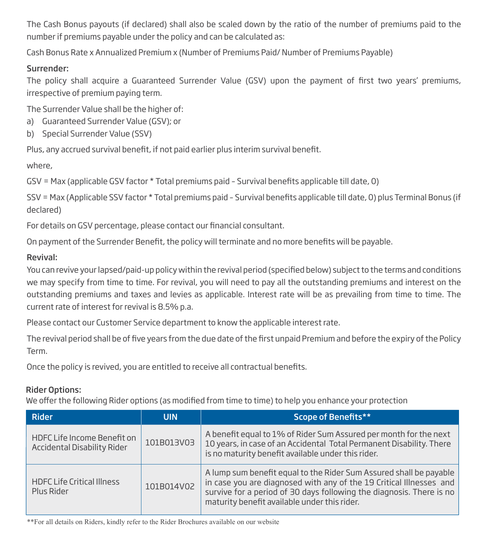The Cash Bonus payouts (if declared) shall also be scaled down by the ratio of the number of premiums paid to the number if premiums payable under the policy and can be calculated as:

Cash Bonus Rate x Annualized Premium x (Number of Premiums Paid/ Number of Premiums Payable)

## Surrender:

The policy shall acquire a Guaranteed Surrender Value (GSV) upon the payment of first two years' premiums, irrespective of premium paying term.

The Surrender Value shall be the higher of:

- a) Guaranteed Surrender Value (GSV); or
- b) Special Surrender Value (SSV)

Plus, any accrued survival benefit, if not paid earlier plus interim survival benefit.

where,

GSV = Max (applicable GSV factor \* Total premiums paid - Survival benefits applicable till date, 0)

SSV = Max (Applicable SSV factor \* Total premiums paid - Survival benefits applicable till date, 0) plus Terminal Bonus (if declared)

For details on GSV percentage, please contact our financial consultant.

On payment of the Surrender Benefit, the policy will terminate and no more benefits will be payable.

## Revival:

You can revive your lapsed/paid-up policy within the revival period (specified below) subject to the terms and conditions we may specify from time to time. For revival, you will need to pay all the outstanding premiums and interest on the outstanding premiums and taxes and levies as applicable. Interest rate will be as prevailing from time to time. The current rate of interest for revival is 8.5% p.a.

Please contact our Customer Service department to know the applicable interest rate.

The revival period shall be of five years from the due date of the first unpaid Premium and before the expiry of the Policy Term.

Once the policy is revived, you are entitled to receive all contractual benefits.

## Rider Options:

We offer the following Rider options (as modified from time to time) to help you enhance your protection

| <b>Rider</b>                                               | <b>UIN</b> | Scope of Benefits**                                                                                                                                                                                                                                               |
|------------------------------------------------------------|------------|-------------------------------------------------------------------------------------------------------------------------------------------------------------------------------------------------------------------------------------------------------------------|
| HDFC Life Income Benefit on<br>Accidental Disability Rider | 101B013V03 | A benefit equal to 1% of Rider Sum Assured per month for the next<br>10 years, in case of an Accidental Total Permanent Disability. There<br>is no maturity benefit available under this rider.                                                                   |
| <b>HDFC Life Critical Illness</b><br>Plus Rider            | 101B014V02 | A lump sum benefit equal to the Rider Sum Assured shall be payable<br>in case you are diagnosed with any of the 19 Critical Illnesses and<br>survive for a period of 30 days following the diagnosis. There is no<br>maturity benefit available under this rider. |

\*\*For all details on Riders, kindly refer to the Rider Brochures available on our website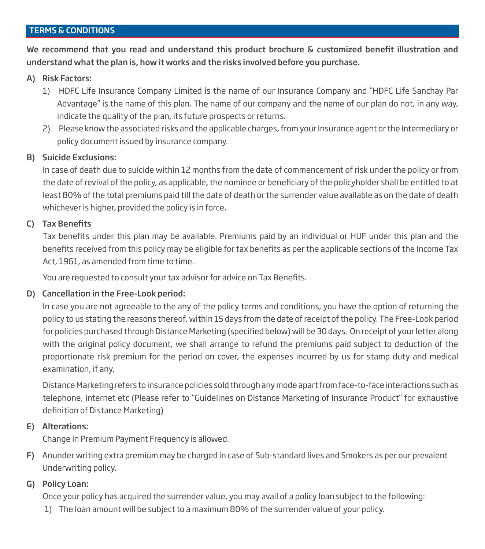## TERMS & CONDITIONS

We recommend that you read and understand this product brochure & customized benefit illustration and understand what the plan is, how it works and the risks involved before you purchase.

#### A) Risk Factors:

- 1) HDFC Life Insurance Company Limited is the name of our Insurance Company and "HDFC Life Sanchay Par Advantage" is the name of this plan. The name of our company and the name of our plan do not, in any way, indicate the quality of the plan, its future prospects or returns.
- 2) Please know the associated risks and the applicable charges, from your Insurance agent or the Intermediary or policy document issued by insurance company.

#### B) Suicide Exclusions:

In case of death due to suicide within 12 months from the date of commencement of risk under the policy or from the date of revival of the policy, as applicable, the nominee or beneficiary of the policyholder shall be entitled to at least 80% of the total premiums paid till the date of death or the surrender value available as on the date of death whichever is higher, provided the policy is in force.

#### C) Tax Benefits

Tax benefits under this plan may be available. Premiums paid by an individual or HUF under this plan and the benefits received from this policy may be eligible for tax benefits as per the applicable sections of the Income Tax Act, 1961, as amended from time to time.

You are requested to consult your tax advisor for advice on Tax Benefits.

## D) Cancellation in the Free-Look period:

In case you are not agreeable to the any of the policy terms and conditions, you have the option of returning the policy to us stating the reasons thereof, within 15 days from the date of receipt of the policy. The Free-Look period for policies purchased through Distance Marketing (specified below) will be 30 days. On receipt of your letter along with the original policy document, we shall arrange to refund the premiums paid subject to deduction of the proportionate risk premium for the period on cover, the expenses incurred by us for stamp duty and medical examination, if any.

Distance Marketing refers to insurance policies sold through any mode apart from face-to-face interactions such as telephone, internet etc (Please refer to "Guidelines on Distance Marketing of Insurance Product" for exhaustive definition of Distance Marketing)

## E) Alterations:

Change in Premium Payment Frequency is allowed.

F) Anunder writing extra premium may be charged in case of Sub-standard lives and Smokers as per our prevalent Underwriting policy.

## G) Policy Loan:

Once your policy has acquired the surrender value, you may avail of a policy loan subject to the following:

1) The loan amount will be subject to a maximum 80% of the surrender value of your policy.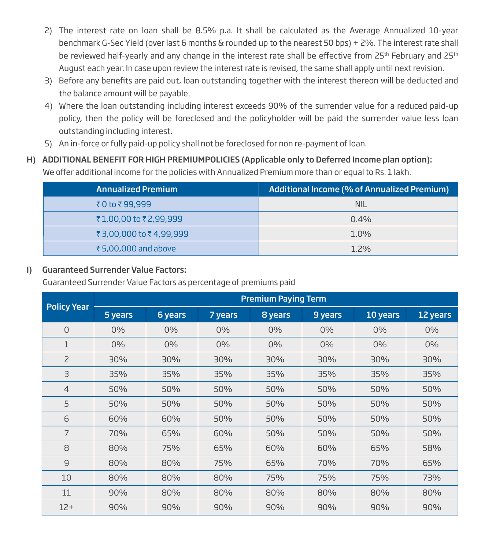- 2) The interest rate on loan shall be 8.5% p.a. It shall be calculated as the Average Annualized 10-year benchmark G-Sec Yield (over last 6 months & rounded up to the nearest 50 bps) + 2%. The interest rate shall be reviewed half-yearly and any change in the interest rate shall be effective from 25<sup>th</sup> February and 25<sup>th</sup> August each year. In case upon review the interest rate is revised, the same shall apply until next revision.
- 3) Before any benefits are paid out, loan outstanding together with the interest thereon will be deducted and the balance amount will be payable.
- 4) Where the loan outstanding including interest exceeds 90% of the surrender value for a reduced paid-up policy, then the policy will be foreclosed and the policyholder will be paid the surrender value less loan outstanding including interest.
- 5) An in-force or fully paid-up policy shall not be foreclosed for non re-payment of loan.
- H) ADDITIONAL BENEFIT FOR HIGH PREMIUMPOLICIES (Applicable only to Deferred Income plan option): We offer additional income for the policies with Annualized Premium more than or equal to Rs. 1 lakh.

| <b>Annualized Premium</b> | <b>Additional Income (% of Annualized Premium)</b> |
|---------------------------|----------------------------------------------------|
| ₹0 to ₹99,999             | <b>NIL</b>                                         |
| ₹1,00,00 to ₹2,99,999     | $0.4\%$                                            |
| ₹3,00,000 to ₹4,99,999    | $1.0\%$                                            |
| ₹5,00,000 and above       | $1.2\%$                                            |

## I) Guaranteed Surrender Value Factors:

Guaranteed Surrender Value Factors as percentage of premiums paid

|                    | <b>Premium Paying Term</b> |         |         |         |         |          |          |  |
|--------------------|----------------------------|---------|---------|---------|---------|----------|----------|--|
| <b>Policy Year</b> | 5 years                    | 6 years | 7 years | 8 years | 9 years | 10 years | 12 years |  |
| $\Omega$           | 0%                         | 0%      | $0\%$   | $0\%$   | 0%      | 0%       | $0\%$    |  |
| 1                  | 0%                         | $0\%$   | $0\%$   | $0\%$   | $0\%$   | 0%       | $0\%$    |  |
| $\overline{c}$     | 30%                        | 30%     | 30%     | 30%     | 30%     | 30%      | 30%      |  |
| З                  | 35%                        | 35%     | 35%     | 35%     | 35%     | 35%      | 35%      |  |
| $\overline{4}$     | 50%                        | 50%     | 50%     | 50%     | 50%     | 50%      | 50%      |  |
| 5                  | 50%                        | 50%     | 50%     | 50%     | 50%     | 50%      | 50%      |  |
| 6                  | 60%                        | 60%     | 50%     | 50%     | 50%     | 50%      | 50%      |  |
| 7                  | 70%                        | 65%     | 60%     | 50%     | 50%     | 50%      | 50%      |  |
| 8                  | 80%                        | 75%     | 65%     | 60%     | 60%     | 65%      | 58%      |  |
| $\overline{9}$     | 80%                        | 80%     | 75%     | 65%     | 70%     | 70%      | 65%      |  |
| 10                 | 80%                        | 80%     | 80%     | 75%     | 75%     | 75%      | 73%      |  |
| 11                 | 90%                        | 80%     | 80%     | 80%     | 80%     | 80%      | 80%      |  |
| $12+$              | 90%                        | 90%     | 90%     | 90%     | 90%     | 90%      | 90%      |  |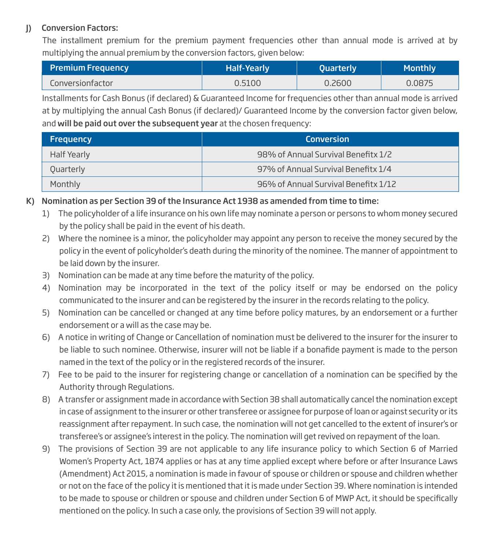## J) Conversion Factors:

The installment premium for the premium payment frequencies other than annual mode is arrived at by multiplying the annual premium by the conversion factors, given below:

| <b>Premium Frequency</b> | <b>Half-Yearly</b> | <b>Quarterly</b> | <b>Monthly</b> |
|--------------------------|--------------------|------------------|----------------|
| Conversionfactor         | 0.5100             | 0.2600           | 0.0875         |

Installments for Cash Bonus (if declared) & Guaranteed Income for frequencies other than annual mode is arrived at by multiplying the annual Cash Bonus (if declared)/ Guaranteed Income by the conversion factor given below, and will be paid out over the subsequent year at the chosen frequency:

| <b>Frequency</b> | <b>Conversion</b>                    |
|------------------|--------------------------------------|
| Half Yearly      | 98% of Annual Survival Benefitx 1/2  |
| Quarterly        | 97% of Annual Survival Benefitx 1/4  |
| Monthly          | 96% of Annual Survival Benefitx 1/12 |

## K) Nomination as per Section 39 of the Insurance Act 1938 as amended from time to time:

- 1) The policyholder of a life insurance on his own life may nominate a person or persons to whom money secured by the policy shall be paid in the event of his death.
- 2) Where the nominee is a minor, the policyholder may appoint any person to receive the money secured by the policy in the event of policyholder's death during the minority of the nominee. The manner of appointment to be laid down by the insurer.
- 3) Nomination can be made at any time before the maturity of the policy.
- 4) Nomination may be incorporated in the text of the policy itself or may be endorsed on the policy communicated to the insurer and can be registered by the insurer in the records relating to the policy.
- 5) Nomination can be cancelled or changed at any time before policy matures, by an endorsement or a further endorsement or a will as the case may be.
- 6) A notice in writing of Change or Cancellation of nomination must be delivered to the insurer for the insurer to be liable to such nominee. Otherwise, insurer will not be liable if a bonafide payment is made to the person named in the text of the policy or in the registered records of the insurer.
- 7) Fee to be paid to the insurer for registering change or cancellation of a nomination can be specified by the Authority through Regulations.
- 8) A transfer or assignment made in accordance with Section 38 shall automatically cancel the nomination except in case of assignment to the insurer or other transferee or assignee for purpose of loan or against security or its reassignment after repayment. In such case, the nomination will not get cancelled to the extent of insurer's or transferee's or assignee's interest in the policy. The nomination will get revived on repayment of the loan.
- 9) The provisions of Section 39 are not applicable to any life insurance policy to which Section 6 of Married Women's Property Act, 1874 applies or has at any time applied except where before or after Insurance Laws (Amendment) Act 2015, a nomination is made in favour of spouse or children or spouse and children whether or not on the face of the policy it is mentioned that it is made under Section 39. Where nomination is intended to be made to spouse or children or spouse and children under Section 6 of MWP Act, it should be specifically mentioned on the policy. In such a case only, the provisions of Section 39 will not apply.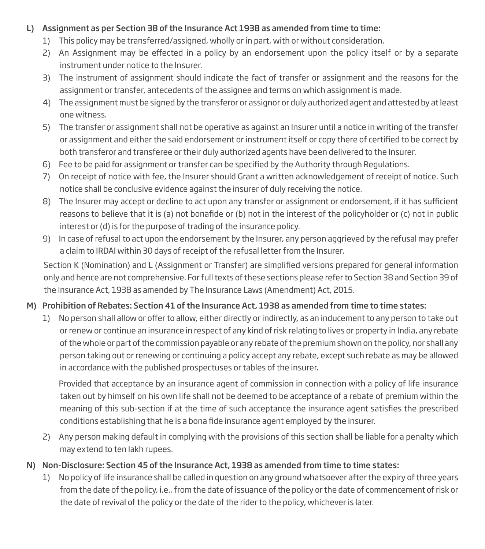## L) Assignment as per Section 38 of the Insurance Act 1938 as amended from time to time:

- 1) This policy may be transferred/assigned, wholly or in part, with or without consideration.
- 2) An Assignment may be effected in a policy by an endorsement upon the policy itself or by a separate instrument under notice to the Insurer.
- 3) The instrument of assignment should indicate the fact of transfer or assignment and the reasons for the assignment or transfer, antecedents of the assignee and terms on which assignment is made.
- 4) The assignment must be signed by the transferor or assignor or duly authorized agent and attested by at least one witness.
- 5) The transfer or assignment shall not be operative as against an Insurer until a notice in writing of the transfer or assignment and either the said endorsement or instrument itself or copy there of certified to be correct by both transferor and transferee or their duly authorized agents have been delivered to the Insurer.
- 6) Fee to be paid for assignment or transfer can be specified by the Authority through Regulations.
- 7) On receipt of notice with fee, the Insurer should Grant a written acknowledgement of receipt of notice. Such notice shall be conclusive evidence against the insurer of duly receiving the notice.
- 8) The Insurer may accept or decline to act upon any transfer or assignment or endorsement, if it has sufficient reasons to believe that it is (a) not bonafide or (b) not in the interest of the policyholder or (c) not in public interest or (d) is for the purpose of trading of the insurance policy.
- 9) In case of refusal to act upon the endorsement by the Insurer, any person aggrieved by the refusal may prefer a claim to IRDAI within 30 days of receipt of the refusal letter from the Insurer.

Section K (Nomination) and L (Assignment or Transfer) are simplified versions prepared for general information only and hence are not comprehensive. For full texts of these sections please refer to Section 38 and Section 39 of the Insurance Act, 1938 as amended by The Insurance Laws (Amendment) Act, 2015.

## M) Prohibition of Rebates: Section 41 of the Insurance Act, 1938 as amended from time to time states:

1) No person shall allow or offer to allow, either directly or indirectly, as an inducement to any person to take out or renew or continue an insurance in respect of any kind of risk relating to lives or property in India, any rebate of the whole or part of the commission payable or any rebate of the premium shown on the policy, nor shall any person taking out or renewing or continuing a policy accept any rebate, except such rebate as may be allowed in accordance with the published prospectuses or tables of the insurer.

 Provided that acceptance by an insurance agent of commission in connection with a policy of life insurance taken out by himself on his own life shall not be deemed to be acceptance of a rebate of premium within the meaning of this sub-section if at the time of such acceptance the insurance agent satisfies the prescribed conditions establishing that he is a bona fide insurance agent employed by the insurer.

- 2) Any person making default in complying with the provisions of this section shall be liable for a penalty which may extend to ten lakh rupees.
- N) Non-Disclosure: Section 45 of the Insurance Act, 1938 as amended from time to time states:
	- 1) No policy of life insurance shall be called in question on any ground whatsoever after the expiry of three years from the date of the policy, i.e., from the date of issuance of the policy or the date of commencement of risk or the date of revival of the policy or the date of the rider to the policy, whichever is later.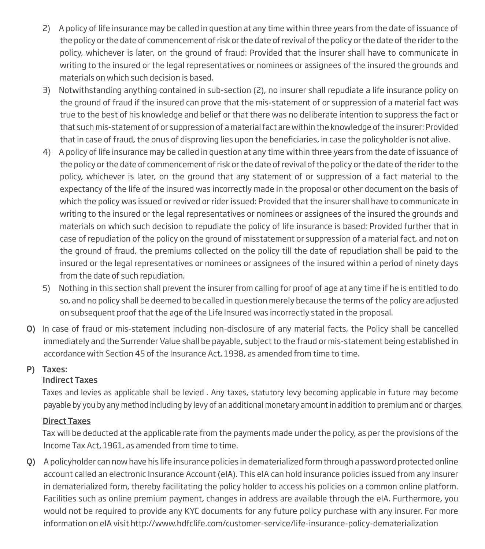- 2) A policy of life insurance may be called in question at any time within three years from the date of issuance of the policy or the date of commencement of risk or the date of revival of the policy or the date of the rider to the policy, whichever is later, on the ground of fraud: Provided that the insurer shall have to communicate in writing to the insured or the legal representatives or nominees or assignees of the insured the grounds and materials on which such decision is based.
- 3) Notwithstanding anything contained in sub-section (2), no insurer shall repudiate a life insurance policy on the ground of fraud if the insured can prove that the mis-statement of or suppression of a material fact was true to the best of his knowledge and belief or that there was no deliberate intention to suppress the fact or that such mis-statement of or suppression of a material fact are within the knowledge of the insurer: Provided that in case of fraud, the onus of disproving lies upon the beneficiaries, in case the policyholder is not alive.
- 4) A policy of life insurance may be called in question at any time within three years from the date of issuance of the policy or the date of commencement of risk or the date of revival of the policy or the date of the rider to the policy, whichever is later, on the ground that any statement of or suppression of a fact material to the expectancy of the life of the insured was incorrectly made in the proposal or other document on the basis of which the policy was issued or revived or rider issued: Provided that the insurer shall have to communicate in writing to the insured or the legal representatives or nominees or assignees of the insured the grounds and materials on which such decision to repudiate the policy of life insurance is based: Provided further that in case of repudiation of the policy on the ground of misstatement or suppression of a material fact, and not on the ground of fraud, the premiums collected on the policy till the date of repudiation shall be paid to the insured or the legal representatives or nominees or assignees of the insured within a period of ninety days from the date of such repudiation.
- 5) Nothing in this section shall prevent the insurer from calling for proof of age at any time if he is entitled to do so, and no policy shall be deemed to be called in question merely because the terms of the policy are adjusted on subsequent proof that the age of the Life Insured was incorrectly stated in the proposal.
- O) In case of fraud or mis-statement including non-disclosure of any material facts, the Policy shall be cancelled immediately and the Surrender Value shall be payable, subject to the fraud or mis-statement being established in accordance with Section 45 of the Insurance Act, 1938, as amended from time to time.

## P) Taxes:

## Indirect Taxes

Taxes and levies as applicable shall be levied . Any taxes, statutory levy becoming applicable in future may become payable by you by any method including by levy of an additional monetary amount in addition to premium and or charges.

## Direct Taxes

 Tax will be deducted at the applicable rate from the payments made under the policy, as per the provisions of the Income Tax Act, 1961, as amended from time to time.

Q) A policyholder can now have his life insurance policies in dematerialized form through a password protected online account called an electronic Insurance Account (eIA). This eIA can hold insurance policies issued from any insurer in dematerialized form, thereby facilitating the policy holder to access his policies on a common online platform. Facilities such as online premium payment, changes in address are available through the eIA. Furthermore, you would not be required to provide any KYC documents for any future policy purchase with any insurer. For more information on eIA visit http://www.hdfclife.com/customer-service/life-insurance-policy-dematerialization